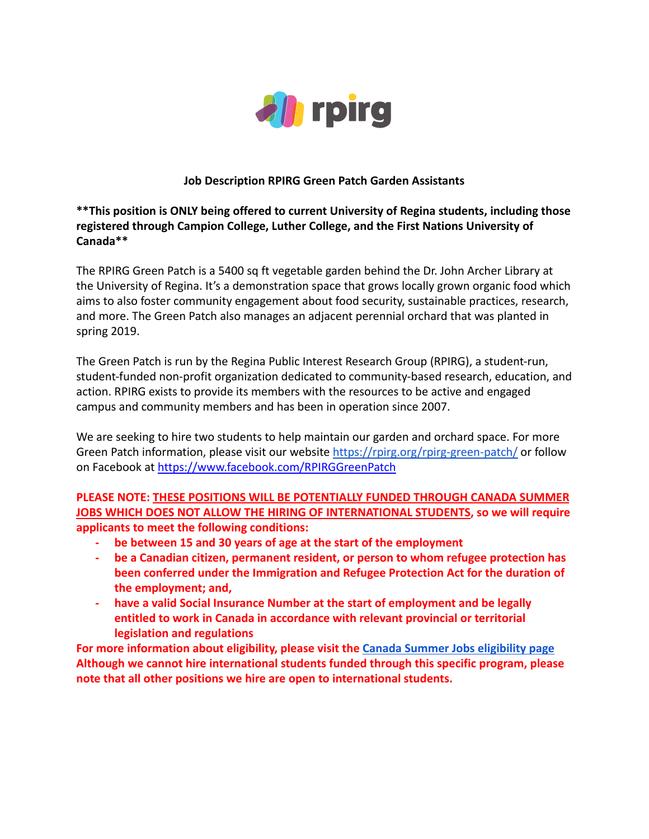

## **Job Description RPIRG Green Patch Garden Assistants**

# **\*\*This position is ONLY being offered to current University of Regina students, including those registered through Campion College, Luther College, and the First Nations University of Canada\*\***

The RPIRG Green Patch is a 5400 sq ft vegetable garden behind the Dr. John Archer Library at the University of Regina. It's a demonstration space that grows locally grown organic food which aims to also foster community engagement about food security, sustainable practices, research, and more. The Green Patch also manages an adjacent perennial orchard that was planted in spring 2019.

The Green Patch is run by the Regina Public Interest Research Group (RPIRG), a student-run, student-funded non-profit organization dedicated to community-based research, education, and action. RPIRG exists to provide its members with the resources to be active and engaged campus and community members and has been in operation since 2007.

We are seeking to hire two students to help maintain our garden and orchard space. For more Green Patch information, please visit our website <https://rpirg.org/rpirg-green-patch/> or follow on Facebook at [https://www.facebook.com/RPIRGGreenPatch](https://www.facebook.com/RPIRGGreenPatch/)

# **PLEASE NOTE: THESE POSITIONS WILL BE POTENTIALLY FUNDED THROUGH CANADA SUMMER JOBS WHICH DOES NOT ALLOW THE HIRING OF INTERNATIONAL STUDENTS, so we will require applicants to meet the following conditions:**

- **- be between 15 and 30 years of age at the start of the employment**
- **- be a Canadian citizen, permanent resident, or person to whom refugee protection has been conferred under the Immigration and Refugee Protection Act for the duration of the employment; and,**
- **- have a valid Social Insurance Number at the start of employment and be legally entitled to work in Canada in accordance with relevant provincial or territorial legislation and regulations**

**For more information about eligibility, please visit the [Canada Summer Jobs eligibility page](https://www.canada.ca/en/employment-social-development/services/funding/canada-summer-jobs/screening-eligibility.html) Although we cannot hire international students funded through this specific program, please note that all other positions we hire are open to international students.**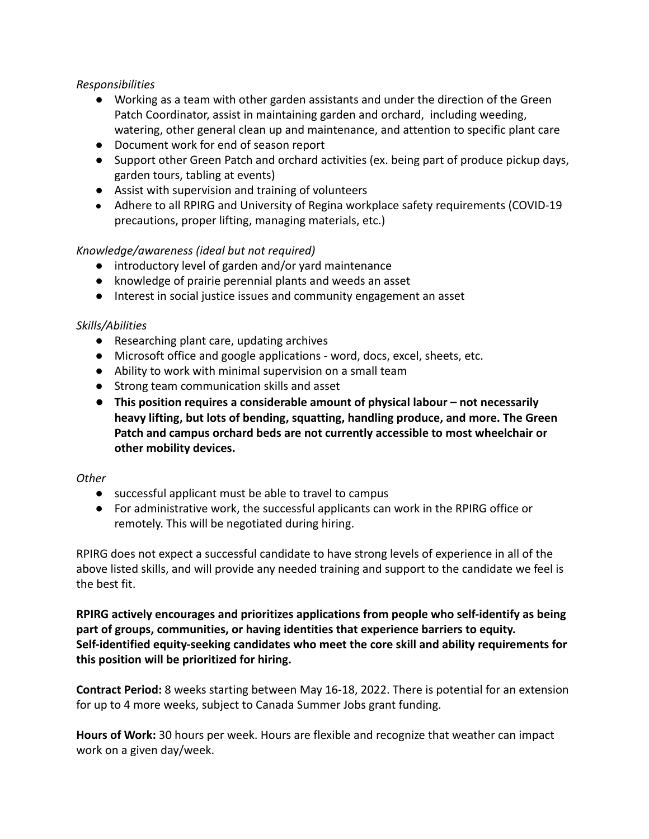## *Responsibilities*

- Working as a team with other garden assistants and under the direction of the Green Patch Coordinator, assist in maintaining garden and orchard, including weeding, watering, other general clean up and maintenance, and attention to specific plant care
- Document work for end of season report
- Support other Green Patch and orchard activities (ex. being part of produce pickup days, garden tours, tabling at events)
- Assist with supervision and training of volunteers
- Adhere to all RPIRG and University of Regina workplace safety requirements (COVID-19 precautions, proper lifting, managing materials, etc.)

# *Knowledge/awareness (ideal but not required)*

- introductory level of garden and/or yard maintenance
- knowledge of prairie perennial plants and weeds an asset
- Interest in social justice issues and community engagement an asset

## *Skills/Abilities*

- Researching plant care, updating archives
- Microsoft office and google applications word, docs, excel, sheets, etc.
- Ability to work with minimal supervision on a small team
- Strong team communication skills and asset
- **This position requires a considerable amount of physical labour not necessarily heavy lifting, but lots of bending, squatting, handling produce, and more. The Green Patch and campus orchard beds are not currently accessible to most wheelchair or other mobility devices.**

### *Other*

- successful applicant must be able to travel to campus
- For administrative work, the successful applicants can work in the RPIRG office or remotely. This will be negotiated during hiring.

RPIRG does not expect a successful candidate to have strong levels of experience in all of the above listed skills, and will provide any needed training and support to the candidate we feel is the best fit.

**RPIRG actively encourages and prioritizes applications from people who self-identify as being part of groups, communities, or having identities that experience barriers to equity. Self-identified equity-seeking candidates who meet the core skill and ability requirements for this position will be prioritized for hiring.**

**Contract Period:** 8 weeks starting between May 16-18, 2022. There is potential for an extension for up to 4 more weeks, subject to Canada Summer Jobs grant funding.

**Hours of Work:** 30 hours per week. Hours are flexible and recognize that weather can impact work on a given day/week.